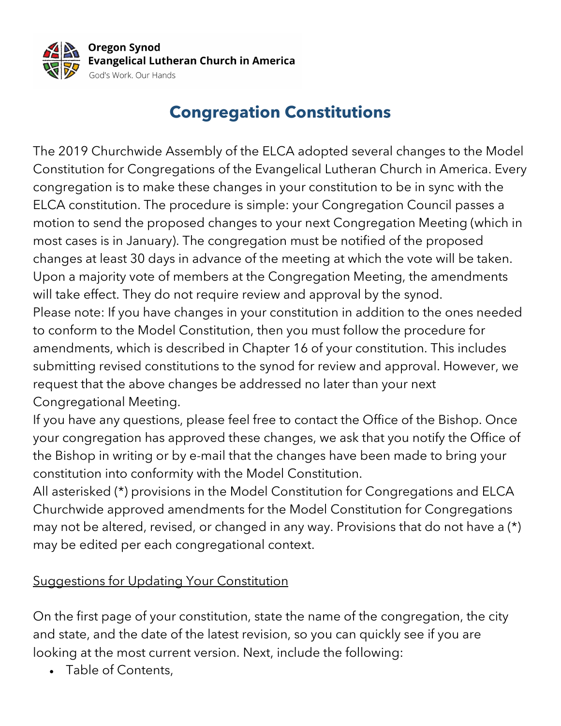

## **Congregation Constitutions**

The 2019 Churchwide Assembly of the ELCA adopted several changes to the Model Constitution for Congregations of the Evangelical Lutheran Church in America. Every congregation is to make these changes in your constitution to be in sync with the ELCA constitution. The procedure is simple: your Congregation Council passes a motion to send the proposed changes to your next Congregation Meeting (which in most cases is in January). The congregation must be notified of the proposed changes at least 30 days in advance of the meeting at which the vote will be taken. Upon a majority vote of members at the Congregation Meeting, the amendments will take effect. They do not require review and approval by the synod. Please note: If you have changes in your constitution in addition to the ones needed to conform to the Model Constitution, then you must follow the procedure for amendments, which is described in Chapter 16 of your constitution. This includes submitting revised constitutions to the synod for review and approval. However, we request that the above changes be addressed no later than your next Congregational Meeting.

If you have any questions, please feel free to contact the Office of the Bishop. Once your congregation has approved these changes, we ask that you notify the Office of the Bishop in writing or by e-mail that the changes have been made to bring your constitution into conformity with the Model Constitution.

All asterisked (\*) provisions in the Model Constitution for Congregations and ELCA Churchwide approved amendments for the Model Constitution for Congregations may not be altered, revised, or changed in any way. Provisions that do not have a (\*) may be edited per each congregational context.

## Suggestions for Updating Your Constitution

On the first page of your constitution, state the name of the congregation, the city and state, and the date of the latest revision, so you can quickly see if you are looking at the most current version. Next, include the following:

• Table of Contents,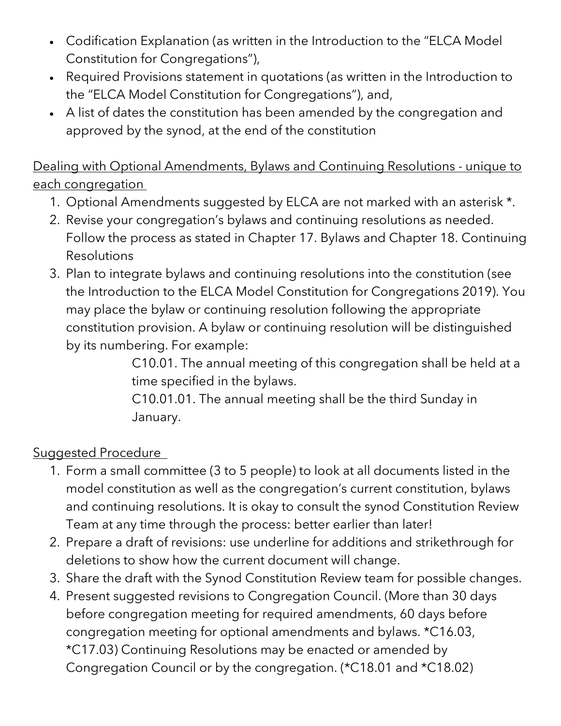- Codification Explanation (as written in the Introduction to the "ELCA Model Constitution for Congregations"),
- Required Provisions statement in quotations (as written in the Introduction to the "ELCA Model Constitution for Congregations"), and,
- A list of dates the constitution has been amended by the congregation and approved by the synod, at the end of the constitution

Dealing with Optional Amendments, Bylaws and Continuing Resolutions - unique to each congregation

- 1. Optional Amendments suggested by ELCA are not marked with an asterisk \*.
- 2. Revise your congregation's bylaws and continuing resolutions as needed. Follow the process as stated in Chapter 17. Bylaws and Chapter 18. Continuing Resolutions
- 3. Plan to integrate bylaws and continuing resolutions into the constitution (see the Introduction to the ELCA Model Constitution for Congregations 2019). You may place the bylaw or continuing resolution following the appropriate constitution provision. A bylaw or continuing resolution will be distinguished by its numbering. For example:

C10.01. The annual meeting of this congregation shall be held at a time specified in the bylaws.

C10.01.01. The annual meeting shall be the third Sunday in January.

## Suggested Procedure

- 1. Form a small committee (3 to 5 people) to look at all documents listed in the model constitution as well as the congregation's current constitution, bylaws and continuing resolutions. It is okay to consult the synod Constitution Review Team at any time through the process: better earlier than later!
- 2. Prepare a draft of revisions: use underline for additions and strikethrough for deletions to show how the current document will change.
- 3. Share the draft with the Synod Constitution Review team for possible changes.
- 4. Present suggested revisions to Congregation Council. (More than 30 days before congregation meeting for required amendments, 60 days before congregation meeting for optional amendments and bylaws. \*C16.03, \*C17.03) Continuing Resolutions may be enacted or amended by Congregation Council or by the congregation. (\*C18.01 and \*C18.02)